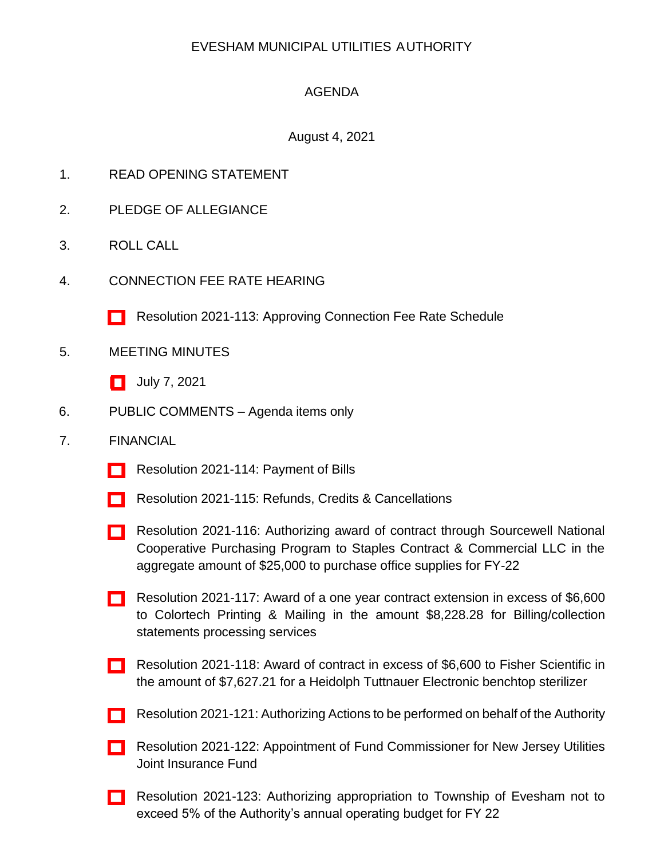## EVESHAM MUNICIPAL UTILITIES AUTHORITY

## AGENDA

## August 4, 2021

- 1. READ OPENING STATEMENT
- 2. PLEDGE OF ALLEGIANCE
- 3. ROLL CALL
- 4. CONNECTION FEE RATE HEARING
	- [\[ \]](http://www.eveshammua.com/wp-content/uploads/2021/07/Resolution-2021-113-Approving-Rate-Schedule-Connection-Fee-with-schedule.pdf) Resolution 2021-113: Approving Connection Fee Rate Schedule
- 5. MEETING MINUTES
	- [\[ \]](http://www.eveshammua.com/wp-content/uploads/2021/07/minutes-7-7-2021.pdf) July 7, 2021
- 6. PUBLIC COMMENTS Agenda items only
- 7. FINANCIAL
	- [\[ \]](http://www.eveshammua.com/wp-content/uploads/2021/07/Resolution-2021-114-July-Bill-List.pdf) Resolution 2021-114: Payment of Bills
	- [\[ \]](http://www.eveshammua.com/wp-content/uploads/2021/07/Resolution-2021-Correct-Refunds.pdf) Resolution 2021-115: Refunds, Credits & Cancellations
	- [\[ \]](http://www.eveshammua.com/wp-content/uploads/2021/07/Resolution-2021-116-STAPLES.pdf) Resolution 2021-116: Authorizing award of contract through Sourcewell National Cooperative Purchasing Program to Staples Contract & Commercial LLC in the aggregate amount of \$25,000 to purchase office supplies for FY-22
	- [\[ \]](http://www.eveshammua.com/wp-content/uploads/2021/07/Resolution-2021-117-Contract-Extension-Colortec.pdf) Resolution 2021-117: Award of a one year contract extension in excess of \$6,600 to Colortech Printing & Mailing in the amount \$8,228.28 for Billing/collection statements processing services
	- [\[ \]](http://www.eveshammua.com/wp-content/uploads/2021/07/Resolution-2021-118-Fisher-Scientific.pdf) Resolution 2021-118: Award of contract in excess of \$6,600 to Fisher Scientific in the amount of \$7,627.21 for a Heidolph Tuttnauer Electronic benchtop sterilizer
	- [\[ \]](http://www.eveshammua.com/wp-content/uploads/2021/07/Resolution-2021-121-Authorization-actions-to-be-performed.pdf) Resolution 2021-121: Authorizing Actions to be performed on behalf of the Authority
	- [\[ \]](http://www.eveshammua.com/wp-content/uploads/2021/07/Resolution-2021-122-Fund-Commissioner.pdf) Resolution 2021-122: Appointment of Fund Commissioner for New Jersey Utilities Joint Insurance Fund
	- [\[ \]](http://www.eveshammua.com/wp-content/uploads/2021/07/Resolution-2021-123-Appropriation-to-Twp-2021-with-letter.pdf) Resolution 2021-123: Authorizing appropriation to Township of Evesham not to exceed 5% of the Authority's annual operating budget for FY 22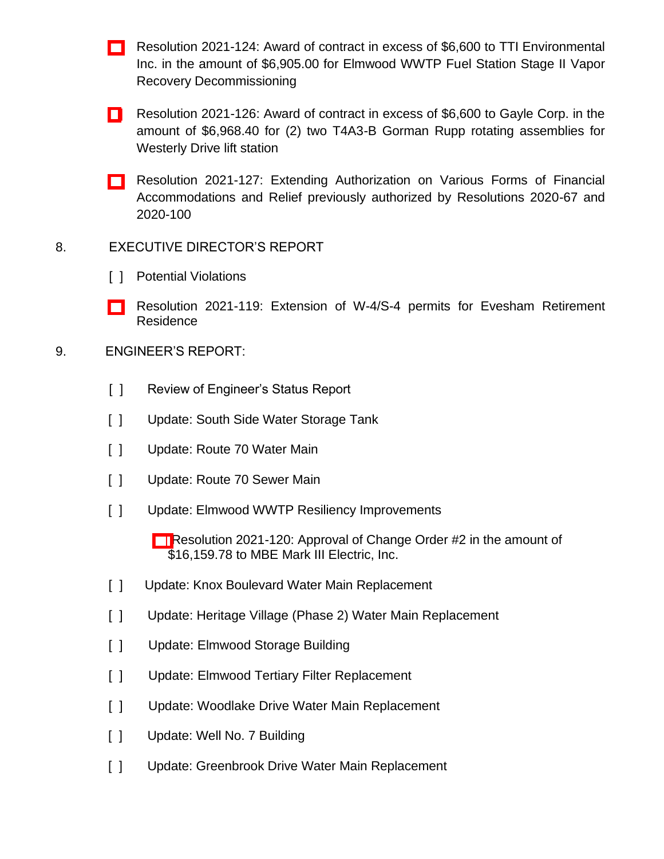- [\[ \]](http://www.eveshammua.com/wp-content/uploads/2021/07/Resolution-2021-124-TTI-Environmental.pdf) Resolution 2021-124: Award of contract in excess of \$6,600 to TTI Environmental Inc. in the amount of \$6,905.00 for Elmwood WWTP Fuel Station Stage II Vapor Recovery Decommissioning
- [\[](http://www.eveshammua.com/wp-content/uploads/2021/07/Resolution-2021-126-Gayle-Corp.pdf) ] Resolution 2021-126: Award of contract in excess of \$6,600 to Gayle Corp. in the amount of \$6,968.40 for (2) two T4A3-B Gorman Rupp rotating assemblies for Westerly Drive lift station
- [\[ \]](http://www.eveshammua.com/wp-content/uploads/2021/07/Resolution-2021-127-re_extend-financial-accommodations_relief.pdf) Resolution 2021-127: Extending Authorization on Various Forms of Financial Accommodations and Relief previously authorized by Resolutions 2020-67 and 2020-100
- 8. EXECUTIVE DIRECTOR'S REPORT
	- [ ] Potential Violations
	- [\[ \]](http://www.eveshammua.com/wp-content/uploads/2021/07/Resolution-2021-119-Extending-W-4-and-S-4-Permits.pdf) Resolution 2021-119: Extension of W-4/S-4 permits for Evesham Retirement Residence
- 9. ENGINEER'S REPORT:
	- [ ] Review of Engineer's Status Report
	- [ ] Update: South Side Water Storage Tank
	- [ ] Update: Route 70 Water Main
	- [ ] Update: Route 70 Sewer Main
	- [ ] Update: Elmwood WWTP Resiliency Improvements
		- [\[ \]](http://www.eveshammua.com/wp-content/uploads/2021/07/Resolution-2021-120-MBE-Mark-III-Change-Order-2.pdf) Resolution 2021-120: Approval of Change Order #2 in the amount of \$16,159.78 to MBE Mark III Electric, Inc.
	- [ ] Update: Knox Boulevard Water Main Replacement
	- [ ] Update: Heritage Village (Phase 2) Water Main Replacement
	- [ ] Update: Elmwood Storage Building
	- [ ] Update: Elmwood Tertiary Filter Replacement
	- [ ] Update: Woodlake Drive Water Main Replacement
	- [ ] Update: Well No. 7 Building
	- [ ] Update: Greenbrook Drive Water Main Replacement